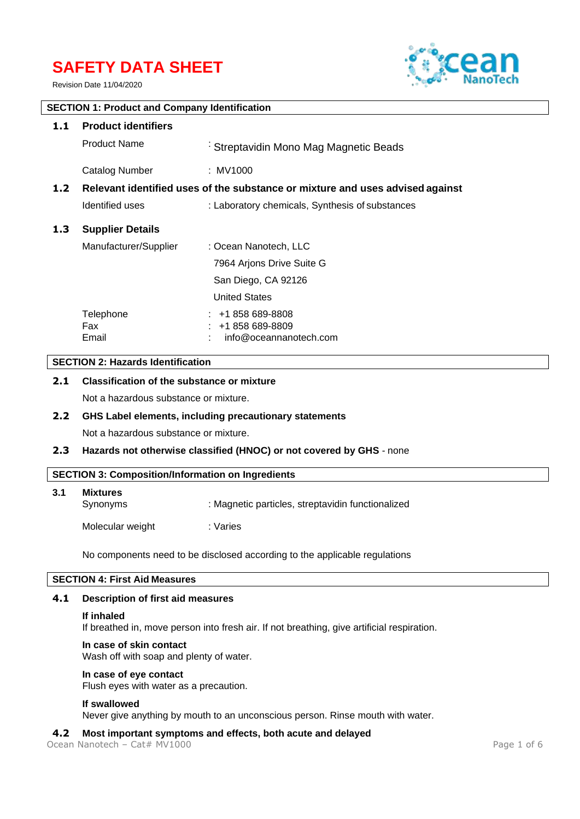# **SAFETY DATA SHEET**

Revision Date 11/04/2020



# **SECTION 1: Product and Company Identification**

| 1.1              | <b>Product identifiers</b>                                                    |                                                                  |  |  |
|------------------|-------------------------------------------------------------------------------|------------------------------------------------------------------|--|--|
|                  | <b>Product Name</b>                                                           | Streptavidin Mono Mag Magnetic Beads                             |  |  |
|                  | Catalog Number                                                                | : MV1000                                                         |  |  |
| 1.2 <sub>1</sub> | Relevant identified uses of the substance or mixture and uses advised against |                                                                  |  |  |
|                  | Identified uses                                                               | : Laboratory chemicals, Synthesis of substances                  |  |  |
| 1.3              | <b>Supplier Details</b>                                                       |                                                                  |  |  |
|                  | Manufacturer/Supplier                                                         | : Ocean Nanotech, LLC                                            |  |  |
|                  |                                                                               | 7964 Arjons Drive Suite G                                        |  |  |
|                  |                                                                               | San Diego, CA 92126                                              |  |  |
|                  |                                                                               | <b>United States</b>                                             |  |  |
|                  | Telephone<br>Fax<br>Email                                                     | $: 1858689 - 8808$<br>$: 1858689-8809$<br>info@oceannanotech.com |  |  |

# **SECTION 2: Hazards Identification**

# **2.1 Classification of the substance or mixture**

Not a hazardous substance or mixture.

#### **2.2 GHS Label elements, including precautionary statements**

Not a hazardous substance or mixture.

#### **2.3 Hazards not otherwise classified (HNOC) or not covered by GHS** - none

#### **SECTION 3: Composition/Information on Ingredients**

| 3.1 | <b>Mixtures</b><br>Synonyms | : Magnetic particles, streptavidin functionalized |
|-----|-----------------------------|---------------------------------------------------|
|     | Molecular weight            | : Varies                                          |

No components need to be disclosed according to the applicable regulations

# **SECTION 4: First Aid Measures**

#### **4.1 Description of first aid measures**

#### **If inhaled**

If breathed in, move person into fresh air. If not breathing, give artificial respiration.

#### **In case of skin contact**

Wash off with soap and plenty of water.

#### **In case of eye contact**

Flush eyes with water as a precaution.

#### **If swallowed**

Never give anything by mouth to an unconscious person. Rinse mouth with water.

#### **4.2 Most important symptoms and effects, both acute and delayed**

Ocean Nanotech – Cat# MV1000 Page 1 of 6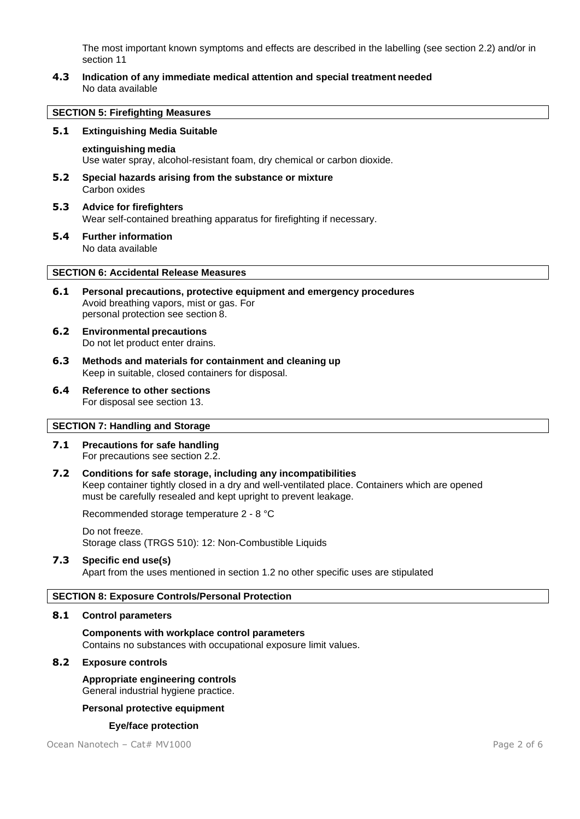The most important known symptoms and effects are described in the labelling (see section 2.2) and/or in section 11

**4.3 Indication of any immediate medical attention and special treatment needed** No data available

#### **SECTION 5: Firefighting Measures**

#### **5.1 Extinguishing Media Suitable**

#### **extinguishing media**

Use water spray, alcohol-resistant foam, dry chemical or carbon dioxide.

- **5.2 Special hazards arising from the substance or mixture** Carbon oxides
- **5.3 Advice for firefighters** Wear self-contained breathing apparatus for firefighting if necessary.
- **5.4 Further information** No data available

#### **SECTION 6: Accidental Release Measures**

- **6.1 Personal precautions, protective equipment and emergency procedures** Avoid breathing vapors, mist or gas. For personal protection see section 8.
- **6.2 Environmental precautions** Do not let product enter drains.
- **6.3 Methods and materials for containment and cleaning up** Keep in suitable, closed containers for disposal.
- **6.4 Reference to other sections** For disposal see section 13.

#### **SECTION 7: Handling and Storage**

- **7.1 Precautions for safe handling** For precautions see section 2.2.
- **7.2 Conditions for safe storage, including any incompatibilities** Keep container tightly closed in a dry and well-ventilated place. Containers which are opened must be carefully resealed and kept upright to prevent leakage.

Recommended storage temperature 2 - 8 °C

#### Do not freeze. Storage class (TRGS 510): 12: Non-Combustible Liquids

#### **7.3 Specific end use(s)**

Apart from the uses mentioned in section 1.2 no other specific uses are stipulated

#### **SECTION 8: Exposure Controls/Personal Protection**

#### **8.1 Control parameters**

**Components with workplace control parameters** Contains no substances with occupational exposure limit values.

#### **8.2 Exposure controls**

**Appropriate engineering controls** General industrial hygiene practice.

#### **Personal protective equipment**

#### **Eye/face protection**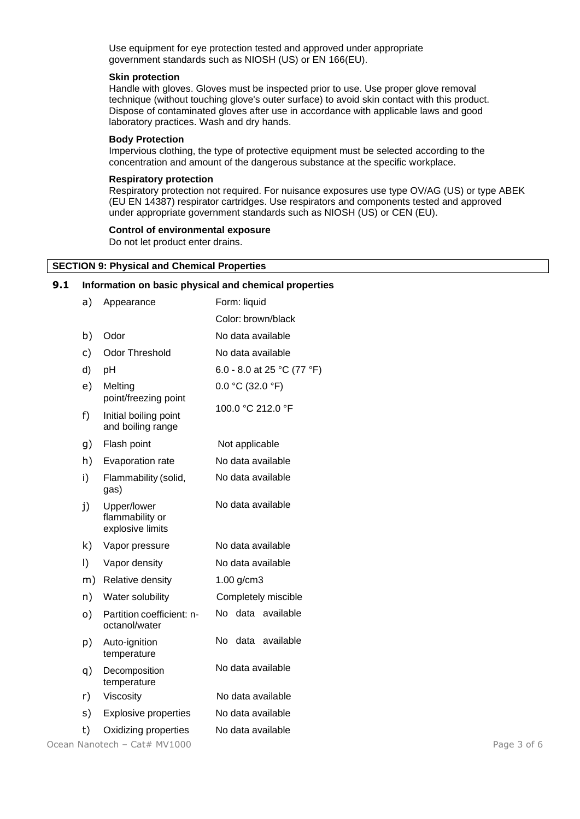Use equipment for eye protection tested and approved under appropriate government standards such as NIOSH (US) or EN 166(EU).

#### **Skin protection**

Handle with gloves. Gloves must be inspected prior to use. Use proper glove removal technique (without touching glove's outer surface) to avoid skin contact with this product. Dispose of contaminated gloves after use in accordance with applicable laws and good laboratory practices. Wash and dry hands.

#### **Body Protection**

Impervious clothing, the type of protective equipment must be selected according to the concentration and amount of the dangerous substance at the specific workplace.

#### **Respiratory protection**

Respiratory protection not required. For nuisance exposures use type OV/AG (US) or type ABEK (EU EN 14387) respirator cartridges. Use respirators and components tested and approved under appropriate government standards such as NIOSH (US) or CEN (EU).

#### **Control of environmental exposure**

Do not let product enter drains.

#### **SECTION 9: Physical and Chemical Properties**

#### **9.1 Information on basic physical and chemical properties**

| a) | Appearance                                         | Form: liquid               |
|----|----------------------------------------------------|----------------------------|
|    |                                                    | Color: brown/black         |
| b) | Odor                                               | No data available          |
| c) | <b>Odor Threshold</b>                              | No data available          |
| d) | рH                                                 | 6.0 - 8.0 at 25 °C (77 °F) |
| e) | Melting<br>point/freezing point                    | $0.0 °C$ (32.0 °F)         |
| f) | Initial boiling point<br>and boiling range         | 100.0 °C 212.0 °F          |
| g) | Flash point                                        | Not applicable             |
| h) | Evaporation rate                                   | No data available          |
| i) | Flammability (solid,<br>gas)                       | No data available          |
| j) | Upper/lower<br>flammability or<br>explosive limits | No data available          |
| k) | Vapor pressure                                     | No data available          |
| I) | Vapor density                                      | No data available          |
| m) | Relative density                                   | $1.00$ g/cm3               |
| n) | Water solubility                                   | Completely miscible        |
| o) | Partition coefficient: n-<br>octanol/water         | No data available          |
| p) | Auto-ignition<br>temperature                       | No<br>data<br>available    |
| q) | Decomposition<br>temperature                       | No data available          |
| r) | Viscosity                                          | No data available          |
| s) | <b>Explosive properties</b>                        | No data available          |
| t) | Oxidizing properties                               | No data available          |

Ocean Nanotech – Cat# MV1000 Page 3 of 6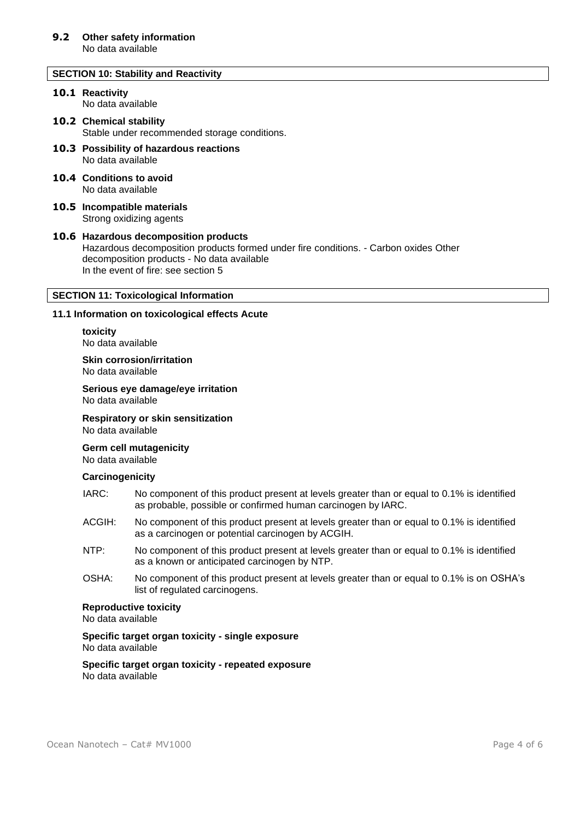#### **SECTION 10: Stability and Reactivity**

#### **10.1 Reactivity** No data available

# **10.2 Chemical stability**

Stable under recommended storage conditions.

- **10.3 Possibility of hazardous reactions** No data available
- **10.4 Conditions to avoid** No data available
- **10.5 Incompatible materials** Strong oxidizing agents

#### **10.6 Hazardous decomposition products** Hazardous decomposition products formed under fire conditions. - Carbon oxides Other decomposition products - No data available In the event of fire: see section 5

### **SECTION 11: Toxicological Information**

#### **11.1 Information on toxicological effects Acute**

**toxicity** No data available

**Skin corrosion/irritation** No data available

**Serious eye damage/eye irritation** No data available

**Respiratory or skin sensitization**

No data available

**Germ cell mutagenicity**

No data available

#### **Carcinogenicity**

- IARC: No component of this product present at levels greater than or equal to 0.1% is identified as probable, possible or confirmed human carcinogen by IARC.
- ACGIH: No component of this product present at levels greater than or equal to 0.1% is identified as a carcinogen or potential carcinogen by ACGIH.
- NTP: No component of this product present at levels greater than or equal to 0.1% is identified as a known or anticipated carcinogen by NTP.
- OSHA: No component of this product present at levels greater than or equal to 0.1% is on OSHA's list of regulated carcinogens.

#### **Reproductive toxicity**

No data available

**Specific target organ toxicity - single exposure** No data available

**Specific target organ toxicity - repeated exposure** No data available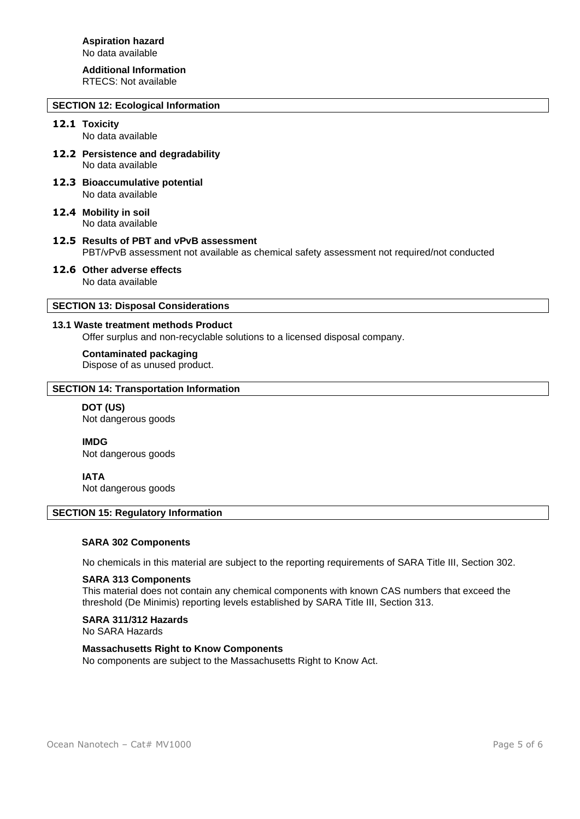# **Additional Information**

RTECS: Not available

# **SECTION 12: Ecological Information**

# **12.1 Toxicity**

No data available

- **12.2 Persistence and degradability** No data available
- **12.3 Bioaccumulative potential** No data available
- **12.4 Mobility in soil** No data available
- **12.5 Results of PBT and vPvB assessment** PBT/vPvB assessment not available as chemical safety assessment not required/not conducted
- **12.6 Other adverse effects** No data available

# **SECTION 13: Disposal Considerations**

### **13.1 Waste treatment methods Product**

Offer surplus and non-recyclable solutions to a licensed disposal company.

#### **Contaminated packaging**

Dispose of as unused product.

# **SECTION 14: Transportation Information**

#### **DOT (US)** Not dangerous goods

**IMDG**

Not dangerous goods

# **IATA**

Not dangerous goods

#### **SECTION 15: Regulatory Information**

#### **SARA 302 Components**

No chemicals in this material are subject to the reporting requirements of SARA Title III, Section 302.

#### **SARA 313 Components**

This material does not contain any chemical components with known CAS numbers that exceed the threshold (De Minimis) reporting levels established by SARA Title III, Section 313.

#### **SARA 311/312 Hazards**

No SARA Hazards

# **Massachusetts Right to Know Components**

No components are subject to the Massachusetts Right to Know Act.